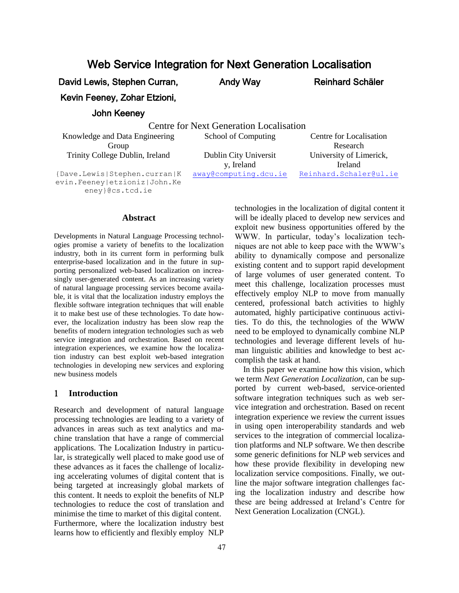# Web Service Integration for Next Generation Localisation

David Lewis, Stephen Curran,

Andy Way Reinhard Schäler

Kevin Feeney, Zohar Etzioni,

#### John Keeney

Centre for Next Generation Localisation

Knowledge and Data Engineering Group Trinity College Dublin, Ireland Dublin City Universit

Research y, Ireland<br>away@computing.dcu.ie University of Limerick, Ireland Reinhard.Schaler@ul.ie

School of Computing Centre for Localisation

{Dave.Lewis|Stephen.curran|K evin.Feeney|etzioniz|John.Ke eney}@cs.tcd.ie

#### **Abstract**

Developments in Natural Language Processing technologies promise a variety of benefits to the localization industry, both in its current form in performing bulk enterprise-based localization and in the future in supporting personalized web-based localization on increasingly user-generated content. As an increasing variety of natural language processing services become available, it is vital that the localization industry employs the flexible software integration techniques that will enable it to make best use of these technologies. To date however, the localization industry has been slow reap the benefits of modern integration technologies such as web service integration and orchestration. Based on recent integration experiences, we examine how the localization industry can best exploit web-based integration technologies in developing new services and exploring new business models

#### **Introduction**

Research and development of natural language processing technologies are leading to a variety of advances in areas such as text analytics and machine translation that have a range of commercial applications. The Localization Industry in particular, is strategically well placed to make good use of these advances as it faces the challenge of localizing accelerating volumes of digital content that is being targeted at increasingly global markets of this content. It needs to exploit the benefits of NLP technologies to reduce the cost of translation and minimise the time to market of this digital content. Furthermore, where the localization industry best learns how to efficiently and flexibly employ NLP technologies in the localization of digital content it will be ideally placed to develop new services and exploit new business opportunities offered by the WWW. In particular, today's localization techniques are not able to keep pace with the WWW's ability to dynamically compose and personalize existing content and to support rapid development of large volumes of user generated content. To meet this challenge, localization processes must effectively employ NLP to move from manually centered, professional batch activities to highly automated, highly participative continuous activities. To do this, the technologies of the WWW need to be employed to dynamically combine NLP technologies and leverage different levels of human linguistic abilities and knowledge to best accomplish the task at hand.

In this paper we examine how this vision, which we term *Next Generation Localization*, can be supported by current web-based, service-oriented software integration techniques such as web service integration and orchestration. Based on recent integration experience we review the current issues in using open interoperability standards and web services to the integration of commercial localization platforms and NLP software. We then describe some generic definitions for NLP web services and how these provide flexibility in developing new localization service compositions. Finally, we outline the major software integration challenges facing the localization industry and describe how these are being addressed at Ireland's Centre for Next Generation Localization (CNGL).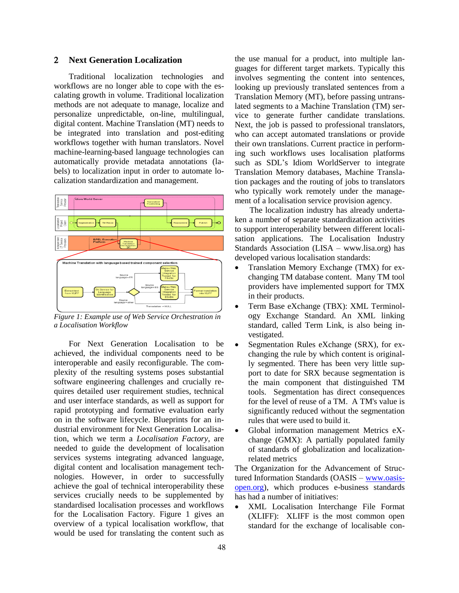#### **Next Generation Localization**

Traditional localization technologies and workflows are no longer able to cope with the escalating growth in volume. Traditional localization methods are not adequate to manage, localize and personalize unpredictable, on-line, multilingual, digital content. Machine Translation (MT) needs to be integrated into translation and post-editing workflows together with human translators. Novel machine-learning-based language technologies can automatically provide metadata annotations (labels) to localization input in order to automate localization standardization and management.



*Figure 1: Example use of Web Service Orchestration in a Localisation Workflow*

For Next Generation Localisation to be achieved, the individual components need to be interoperable and easily reconfigurable. The complexity of the resulting systems poses substantial software engineering challenges and crucially requires detailed user requirement studies, technical and user interface standards, as well as support for rapid prototyping and formative evaluation early on in the software lifecycle. Blueprints for an industrial environment for Next Generation Localisation, which we term a *Localisation Factory*, are needed to guide the development of localisation services systems integrating advanced language, digital content and localisation management technologies. However, in order to successfully achieve the goal of technical interoperability these services crucially needs to be supplemented by standardised localisation processes and workflows for the Localisation Factory. Figure 1 gives an overview of a typical localisation workflow, that would be used for translating the content such as the use manual for a product, into multiple languages for different target markets. Typically this involves segmenting the content into sentences, looking up previously translated sentences from a Translation Memory (MT), before passing untranslated segments to a Machine Translation (TM) service to generate further candidate translations. Next, the job is passed to professional translators, who can accept automated translations or provide their own translations. Current practice in performing such workflows uses localisation platforms such as SDL's Idiom WorldServer to integrate Translation Memory databases, Machine Translation packages and the routing of jobs to translators who typically work remotely under the management of a localisation service provision agency.

The localization industry has already undertaken a number of separate standardization activities to support interoperability between different localisation applications. The Localisation Industry Standards Association (LISA – www.lisa.org) has developed various localisation standards:

- Translation Memory Exchange (TMX) for exchanging TM database content. Many TM tool providers have implemented support for TMX in their products.
- Term Base eXchange (TBX): XML Terminology Exchange Standard. An XML linking standard, called Term Link, is also being investigated.
- Segmentation Rules eXchange (SRX), for exchanging the rule by which content is originally segmented. There has been very little support to date for SRX because segmentation is the main component that distinguished TM tools. Segmentation has direct consequences for the level of reuse of a TM. A TM's value is significantly reduced without the segmentation rules that were used to build it.
- Global information management Metrics eXchange (GMX): A partially populated family of standards of globalization and localizationrelated metrics

The Organization for the Advancement of Structured Information Standards (OASIS – www.oasisopen.org), which produces e-business standards has had a number of initiatives:

 XML Localisation Interchange File Format (XLIFF): XLIFF is the most common open standard for the exchange of localisable con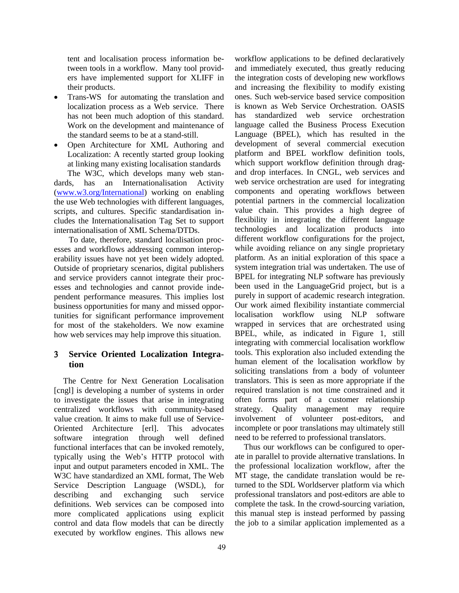tent and localisation process information between tools in a workflow. Many tool providers have implemented support for XLIFF in their products.

- Trans-WS for automating the translation and localization process as a Web service. There has not been much adoption of this standard. Work on the development and maintenance of the standard seems to be at a stand-still.
- Open Architecture for XML Authoring and Localization: A recently started group looking at linking many existing localisation standards

The W3C, which develops many web standards, has an Internationalisation Activity (www.w3.org/International) working on enabling the use Web technologies with different languages, scripts, and cultures. Specific standardisation includes the Internationalisation Tag Set to support internationalisation of XML Schema/DTDs.

To date, therefore, standard localisation processes and workflows addressing common interoperability issues have not yet been widely adopted. Outside of proprietary scenarios, digital publishers and service providers cannot integrate their processes and technologies and cannot provide independent performance measures. This implies lost business opportunities for many and missed opportunities for significant performance improvement for most of the stakeholders. We now examine how web services may help improve this situation.

## **Service Oriented Localization Integration**

The Centre for Next Generation Localisation [cngl] is developing a number of systems in order to investigate the issues that arise in integrating centralized workflows with community-based value creation. It aims to make full use of Service-Oriented Architecture [erl]. This advocates software integration through well defined functional interfaces that can be invoked remotely, typically using the Web's HTTP protocol with input and output parameters encoded in XML. The W3C have standardized an XML format, The Web Service Description Language (WSDL), for describing and exchanging such service definitions. Web services can be composed into more complicated applications using explicit control and data flow models that can be directly executed by workflow engines. This allows new

workflow applications to be defined declaratively and immediately executed, thus greatly reducing the integration costs of developing new workflows and increasing the flexibility to modify existing ones. Such web-service based service composition is known as Web Service Orchestration. OASIS has standardized web service orchestration language called the Business Process Execution Language (BPEL), which has resulted in the development of several commercial execution platform and BPEL workflow definition tools, which support workflow definition through dragand drop interfaces. In CNGL, web services and web service orchestration are used for integrating components and operating workflows between potential partners in the commercial localization value chain. This provides a high degree of flexibility in integrating the different language technologies and localization products into different workflow configurations for the project, while avoiding reliance on any single proprietary platform. As an initial exploration of this space a system integration trial was undertaken. The use of BPEL for integrating NLP software has previously been used in the LanguageGrid project, but is a purely in support of academic research integration. Our work aimed flexibility instantiate commercial localisation workflow using NLP software wrapped in services that are orchestrated using BPEL, while, as indicated in Figure 1, still integrating with commercial localisation workflow tools. This exploration also included extending the human element of the localisation workflow by soliciting translations from a body of volunteer translators. This is seen as more appropriate if the required translation is not time constrained and it often forms part of a customer relationship strategy. Quality management may require involvement of volunteer post-editors, and incomplete or poor translations may ultimately still need to be referred to professional translators.

Thus our workflows can be configured to operate in parallel to provide alternative translations. In the professional localization workflow, after the MT stage, the candidate translation would be returned to the SDL Worldserver platform via which professional translators and post-editors are able to complete the task. In the crowd-sourcing variation, this manual step is instead performed by passing the job to a similar application implemented as a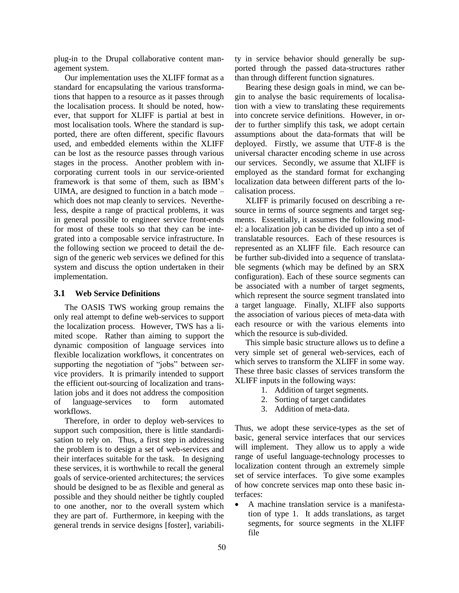plug-in to the Drupal collaborative content management system.

Our implementation uses the XLIFF format as a standard for encapsulating the various transformations that happen to a resource as it passes through the localisation process. It should be noted, however, that support for XLIFF is partial at best in most localisation tools. Where the standard is supported, there are often different, specific flavours used, and embedded elements within the XLIFF can be lost as the resource passes through various stages in the process. Another problem with incorporating current tools in our service-oriented framework is that some of them, such as IBM's UIMA, are designed to function in a batch mode – which does not map cleanly to services. Nevertheless, despite a range of practical problems, it was in general possible to engineer service front-ends for most of these tools so that they can be integrated into a composable service infrastructure. In the following section we proceed to detail the design of the generic web services we defined for this system and discuss the option undertaken in their implementation.

#### **3.1 Web Service Definitions**

The OASIS TWS working group remains the only real attempt to define web-services to support the localization process. However, TWS has a limited scope. Rather than aiming to support the dynamic composition of language services into flexible localization workflows, it concentrates on supporting the negotiation of "jobs" between service providers. It is primarily intended to support the efficient out-sourcing of localization and translation jobs and it does not address the composition of language-services to form automated workflows.

Therefore, in order to deploy web-services to support such composition, there is little standardisation to rely on. Thus, a first step in addressing the problem is to design a set of web-services and their interfaces suitable for the task. In designing these services, it is worthwhile to recall the general goals of service-oriented architectures; the services should be designed to be as flexible and general as possible and they should neither be tightly coupled to one another, nor to the overall system which they are part of. Furthermore, in keeping with the general trends in service designs [foster], variability in service behavior should generally be supported through the passed data-structures rather than through different function signatures.

Bearing these design goals in mind, we can begin to analyse the basic requirements of localisation with a view to translating these requirements into concrete service definitions. However, in order to further simplify this task, we adopt certain assumptions about the data-formats that will be deployed. Firstly, we assume that UTF-8 is the universal character encoding scheme in use across our services. Secondly, we assume that XLIFF is employed as the standard format for exchanging localization data between different parts of the localisation process.

XLIFF is primarily focused on describing a resource in terms of source segments and target segments. Essentially, it assumes the following model: a localization job can be divided up into a set of translatable resources. Each of these resources is represented as an XLIFF file. Each resource can be further sub-divided into a sequence of translatable segments (which may be defined by an SRX configuration). Each of these source segments can be associated with a number of target segments, which represent the source segment translated into a target language. Finally, XLIFF also supports the association of various pieces of meta-data with each resource or with the various elements into which the resource is sub-divided.

This simple basic structure allows us to define a very simple set of general web-services, each of which serves to transform the XLIFF in some way. These three basic classes of services transform the XLIFF inputs in the following ways:

- 1. Addition of target segments.
- 2. Sorting of target candidates
- 3. Addition of meta-data.

Thus, we adopt these service-types as the set of basic, general service interfaces that our services will implement. They allow us to apply a wide range of useful language-technology processes to localization content through an extremely simple set of service interfaces. To give some examples of how concrete services map onto these basic interfaces:

 A machine translation service is a manifestation of type 1. It adds translations, as target segments, for source segments in the XLIFF file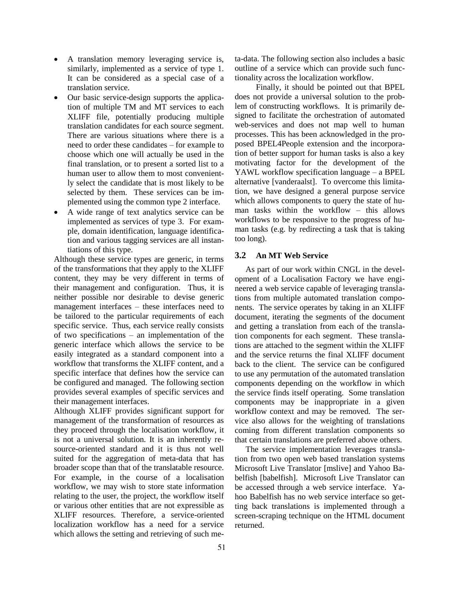- A translation memory leveraging service is, similarly, implemented as a service of type 1. It can be considered as a special case of a translation service.
- Our basic service-design supports the application of multiple TM and MT services to each XLIFF file, potentially producing multiple translation candidates for each source segment. There are various situations where there is a need to order these candidates – for example to choose which one will actually be used in the final translation, or to present a sorted list to a human user to allow them to most conveniently select the candidate that is most likely to be selected by them. These services can be implemented using the common type 2 interface.
- A wide range of text analytics service can be implemented as services of type 3. For example, domain identification, language identification and various tagging services are all instantiations of this type.

Although these service types are generic, in terms of the transformations that they apply to the XLIFF content, they may be very different in terms of their management and configuration. Thus, it is neither possible nor desirable to devise generic management interfaces – these interfaces need to be tailored to the particular requirements of each specific service. Thus, each service really consists of two specifications – an implementation of the generic interface which allows the service to be easily integrated as a standard component into a workflow that transforms the XLIFF content, and a specific interface that defines how the service can be configured and managed. The following section provides several examples of specific services and their management interfaces.

Although XLIFF provides significant support for management of the transformation of resources as they proceed through the localisation workflow, it is not a universal solution. It is an inherently resource-oriented standard and it is thus not well suited for the aggregation of meta-data that has broader scope than that of the translatable resource. For example, in the course of a localisation workflow, we may wish to store state information relating to the user, the project, the workflow itself or various other entities that are not expressible as XLIFF resources. Therefore, a service-oriented localization workflow has a need for a service which allows the setting and retrieving of such meta-data. The following section also includes a basic outline of a service which can provide such functionality across the localization workflow.

Finally, it should be pointed out that BPEL does not provide a universal solution to the problem of constructing workflows. It is primarily designed to facilitate the orchestration of automated web-services and does not map well to human processes. This has been acknowledged in the proposed BPEL4People extension and the incorporation of better support for human tasks is also a key motivating factor for the development of the YAWL workflow specification language – a BPEL alternative [vanderaalst]. To overcome this limitation, we have designed a general purpose service which allows components to query the state of human tasks within the workflow – this allows workflows to be responsive to the progress of human tasks (e.g. by redirecting a task that is taking too long).

#### **3.2 An MT Web Service**

As part of our work within CNGL in the development of a Localisation Factory we have engineered a web service capable of leveraging translations from multiple automated translation components. The service operates by taking in an XLIFF document, iterating the segments of the document and getting a translation from each of the translation components for each segment. These translations are attached to the segment within the XLIFF and the service returns the final XLIFF document back to the client. The service can be configured to use any permutation of the automated translation components depending on the workflow in which the service finds itself operating. Some translation components may be inappropriate in a given workflow context and may be removed. The service also allows for the weighting of translations coming from different translation components so that certain translations are preferred above others.

The service implementation leverages translation from two open web based translation systems Microsoft Live Translator [mslive] and Yahoo Babelfish [babelfish]. Microsoft Live Translator can be accessed through a web service interface. Yahoo Babelfish has no web service interface so getting back translations is implemented through a screen-scraping technique on the HTML document returned.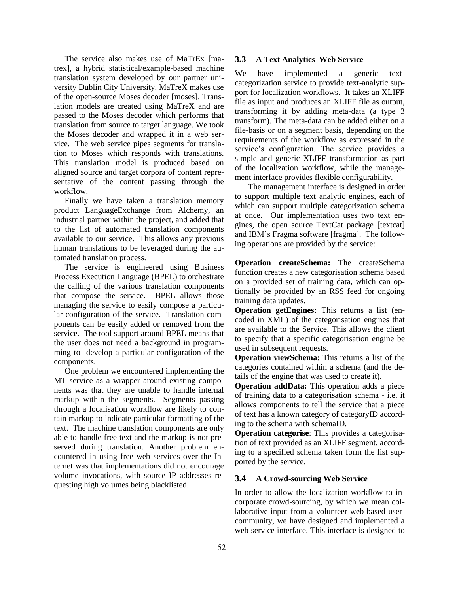The service also makes use of MaTrEx [matrex], a hybrid statistical/example-based machine translation system developed by our partner university Dublin City University. MaTreX makes use of the open-source Moses decoder [moses]. Translation models are created using MaTreX and are passed to the Moses decoder which performs that translation from source to target language. We took the Moses decoder and wrapped it in a web service. The web service pipes segments for translation to Moses which responds with translations. This translation model is produced based on aligned source and target corpora of content representative of the content passing through the workflow.

Finally we have taken a translation memory product LanguageExchange from Alchemy, an industrial partner within the project, and added that to the list of automated translation components available to our service. This allows any previous human translations to be leveraged during the automated translation process.

The service is engineered using Business Process Execution Language (BPEL) to orchestrate the calling of the various translation components that compose the service. BPEL allows those managing the service to easily compose a particular configuration of the service. Translation components can be easily added or removed from the service. The tool support around BPEL means that the user does not need a background in programming to develop a particular configuration of the components.

One problem we encountered implementing the MT service as a wrapper around existing components was that they are unable to handle internal markup within the segments. Segments passing through a localisation workflow are likely to contain markup to indicate particular formatting of the text. The machine translation components are only able to handle free text and the markup is not preserved during translation. Another problem encountered in using free web services over the Internet was that implementations did not encourage volume invocations, with source IP addresses requesting high volumes being blacklisted.

#### **3.3 A Text Analytics Web Service**

We have implemented a generic textcategorization service to provide text-analytic support for localization workflows. It takes an XLIFF file as input and produces an XLIFF file as output, transforming it by adding meta-data (a type 3 transform). The meta-data can be added either on a file-basis or on a segment basis, depending on the requirements of the workflow as expressed in the service's configuration. The service provides a simple and generic XLIFF transformation as part of the localization workflow, while the management interface provides flexible configurability.

The management interface is designed in order to support multiple text analytic engines, each of which can support multiple categorization schema at once. Our implementation uses two text engines, the open source TextCat package [textcat] and IBM's Fragma software [fragma]. The following operations are provided by the service:

**Operation createSchema:** The createSchema function creates a new categorisation schema based on a provided set of training data, which can optionally be provided by an RSS feed for ongoing training data updates.

**Operation getEngines:** This returns a list (encoded in XML) of the categorisation engines that are available to the Service. This allows the client to specify that a specific categorisation engine be used in subsequent requests.

**Operation viewSchema:** This returns a list of the categories contained within a schema (and the details of the engine that was used to create it).

**Operation addData:** This operation adds a piece of training data to a categorisation schema - i.e. it allows components to tell the service that a piece of text has a known category of categoryID according to the schema with schemaID.

**Operation categorise**: This provides a categorisation of text provided as an XLIFF segment, according to a specified schema taken form the list supported by the service.

## **3.4 A Crowd-sourcing Web Service**

In order to allow the localization workflow to incorporate crowd-sourcing, by which we mean collaborative input from a volunteer web-based usercommunity, we have designed and implemented a web-service interface. This interface is designed to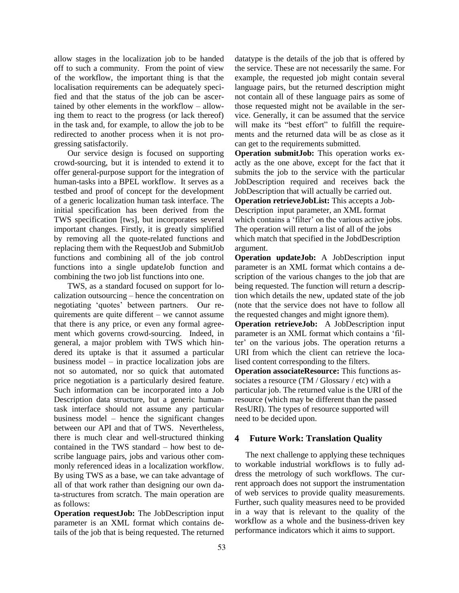allow stages in the localization job to be handed off to such a community. From the point of view of the workflow, the important thing is that the localisation requirements can be adequately specified and that the status of the job can be ascertained by other elements in the workflow – allowing them to react to the progress (or lack thereof) in the task and, for example, to allow the job to be redirected to another process when it is not progressing satisfactorily.

Our service design is focused on supporting crowd-sourcing, but it is intended to extend it to offer general-purpose support for the integration of human-tasks into a BPEL workflow. It serves as a testbed and proof of concept for the development of a generic localization human task interface. The initial specification has been derived from the TWS specification [tws], but incorporates several important changes. Firstly, it is greatly simplified by removing all the quote-related functions and replacing them with the RequestJob and SubmitJob functions and combining all of the job control functions into a single updateJob function and combining the two job list functions into one.

TWS, as a standard focused on support for localization outsourcing – hence the concentration on negotiating 'quotes' between partners. Our requirements are quite different – we cannot assume that there is any price, or even any formal agreement which governs crowd-sourcing. Indeed, in general, a major problem with TWS which hindered its uptake is that it assumed a particular business model – in practice localization jobs are not so automated, nor so quick that automated price negotiation is a particularly desired feature. Such information can be incorporated into a Job Description data structure, but a generic humantask interface should not assume any particular business model – hence the significant changes between our API and that of TWS. Nevertheless, there is much clear and well-structured thinking contained in the TWS standard – how best to describe language pairs, jobs and various other commonly referenced ideas in a localization workflow. By using TWS as a base, we can take advantage of all of that work rather than designing our own data-structures from scratch. The main operation are as follows:

**Operation requestJob:** The JobDescription input parameter is an XML format which contains details of the job that is being requested. The returned datatype is the details of the job that is offered by the service. These are not necessarily the same. For example, the requested job might contain several language pairs, but the returned description might not contain all of these language pairs as some of those requested might not be available in the service. Generally, it can be assumed that the service will make its "best effort" to fulfill the requirements and the returned data will be as close as it can get to the requirements submitted.

**Operation submitJob:** This operation works exactly as the one above, except for the fact that it submits the job to the service with the particular JobDescription required and receives back the JobDescription that will actually be carried out. **Operation retrieveJobList:** This accepts a Job-Description input parameter, an XML format which contains a 'filter' on the various active jobs. The operation will return a list of all of the jobs which match that specified in the JobdDescription argument.

**Operation updateJob:** A JobDescription input parameter is an XML format which contains a description of the various changes to the job that are being requested. The function will return a description which details the new, updated state of the job (note that the service does not have to follow all the requested changes and might ignore them).

**Operation retrieveJob:** A JobDescription input parameter is an XML format which contains a 'filter' on the various jobs. The operation returns a URI from which the client can retrieve the localised content corresponding to the filters.

**Operation associateResource:** This functions associates a resource (TM / Glossary / etc) with a particular job. The returned value is the URI of the resource (which may be different than the passed ResURI). The types of resource supported will need to be decided upon.

## **Future Work: Translation Quality**

The next challenge to applying these techniques to workable industrial workflows is to fully address the metrology of such workflows. The current approach does not support the instrumentation of web services to provide quality measurements. Further, such quality measures need to be provided in a way that is relevant to the quality of the workflow as a whole and the business-driven key performance indicators which it aims to support.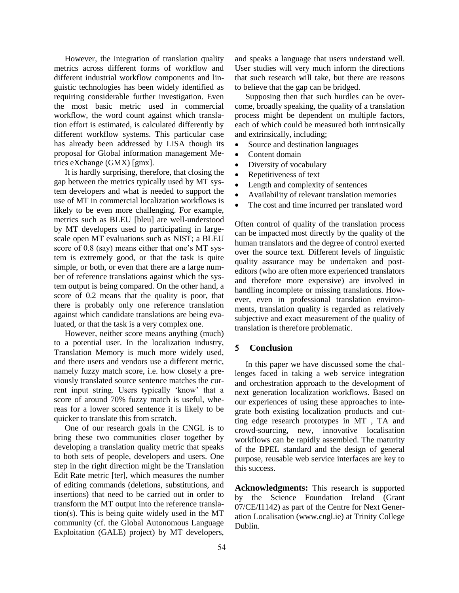However, the integration of translation quality metrics across different forms of workflow and different industrial workflow components and linguistic technologies has been widely identified as requiring considerable further investigation. Even the most basic metric used in commercial workflow, the word count against which translation effort is estimated, is calculated differently by different workflow systems. This particular case has already been addressed by LISA though its proposal for Global information management Metrics eXchange (GMX) [gmx].

It is hardly surprising, therefore, that closing the gap between the metrics typically used by MT system developers and what is needed to support the use of MT in commercial localization workflows is likely to be even more challenging. For example, metrics such as BLEU [bleu] are well-understood by MT developers used to participating in largescale open MT evaluations such as NIST; a BLEU score of 0.8 (say) means either that one's MT system is extremely good, or that the task is quite simple, or both, or even that there are a large number of reference translations against which the system output is being compared. On the other hand, a score of 0.2 means that the quality is poor, that there is probably only one reference translation against which candidate translations are being evaluated, or that the task is a very complex one.

However, neither score means anything (much) to a potential user. In the localization industry, Translation Memory is much more widely used, and there users and vendors use a different metric, namely fuzzy match score, i.e. how closely a previously translated source sentence matches the current input string. Users typically 'know' that a score of around 70% fuzzy match is useful, whereas for a lower scored sentence it is likely to be quicker to translate this from scratch.

One of our research goals in the CNGL is to bring these two communities closer together by developing a translation quality metric that speaks to both sets of people, developers and users. One step in the right direction might be the Translation Edit Rate metric [ter], which measures the number of editing commands (deletions, substitutions, and insertions) that need to be carried out in order to transform the MT output into the reference translation(s). This is being quite widely used in the MT community (cf. the Global Autonomous Language Exploitation (GALE) project) by MT developers,

and speaks a language that users understand well. User studies will very much inform the directions that such research will take, but there are reasons to believe that the gap can be bridged.

Supposing then that such hurdles can be overcome, broadly speaking, the quality of a translation process might be dependent on multiple factors, each of which could be measured both intrinsically and extrinsically, including;

- Source and destination languages
- Content domain
- Diversity of vocabulary
- Repetitiveness of text
- Length and complexity of sentences
- Availability of relevant translation memories
- The cost and time incurred per translated word

Often control of quality of the translation process can be impacted most directly by the quality of the human translators and the degree of control exerted over the source text. Different levels of linguistic quality assurance may be undertaken and posteditors (who are often more experienced translators and therefore more expensive) are involved in handling incomplete or missing translations. However, even in professional translation environments, translation quality is regarded as relatively subjective and exact measurement of the quality of translation is therefore problematic.

#### **Conclusion**

In this paper we have discussed some the challenges faced in taking a web service integration and orchestration approach to the development of next generation localization workflows. Based on our experiences of using these approaches to integrate both existing localization products and cutting edge research prototypes in MT , TA and crowd-sourcing, new, innovative localisation workflows can be rapidly assembled. The maturity of the BPEL standard and the design of general purpose, reusable web service interfaces are key to this success.

**Acknowledgments:** This research is supported by the Science Foundation Ireland (Grant 07/CE/I1142) as part of the Centre for Next Generation Localisation (www.cngl.ie) at Trinity College Dublin.